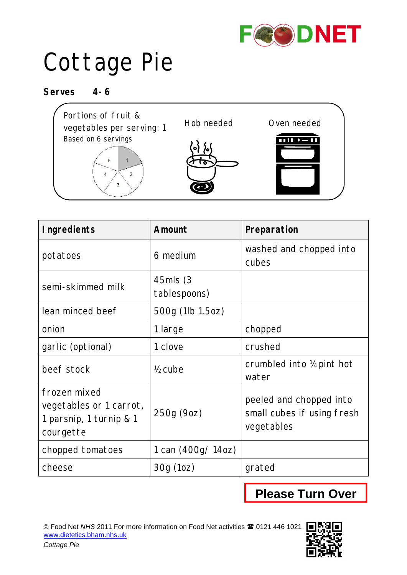

## Cottage Pie

**Serves 4-6**

*Cottage Pie*



| <b>Ingredients</b>                                                              | Amount                    | Preparation                                                         |
|---------------------------------------------------------------------------------|---------------------------|---------------------------------------------------------------------|
| potatoes                                                                        | 6 medium                  | washed and chopped into<br>cubes                                    |
| semi-skimmed milk                                                               | 45mls (3)<br>tablespoons) |                                                                     |
| lean minced beef                                                                | 500g (1lb 1.5oz)          |                                                                     |
| onion                                                                           | 1 large                   | chopped                                                             |
| garlic (optional)                                                               | 1 clove                   | crushed                                                             |
| beef stock                                                                      | $\frac{1}{2}$ cube        | crumbled into 1/4 pint hot<br>water                                 |
| frozen mixed<br>vegetables or 1 carrot,<br>1 parsnip, 1 turnip & 1<br>courgette | 250g (9oz)                | peeled and chopped into<br>small cubes if using fresh<br>vegetables |
| chopped tomatoes                                                                | 1 can (400g/ 14oz)        |                                                                     |
| cheese                                                                          | 30g(10z)                  | grated                                                              |

## **Please Turn Over**